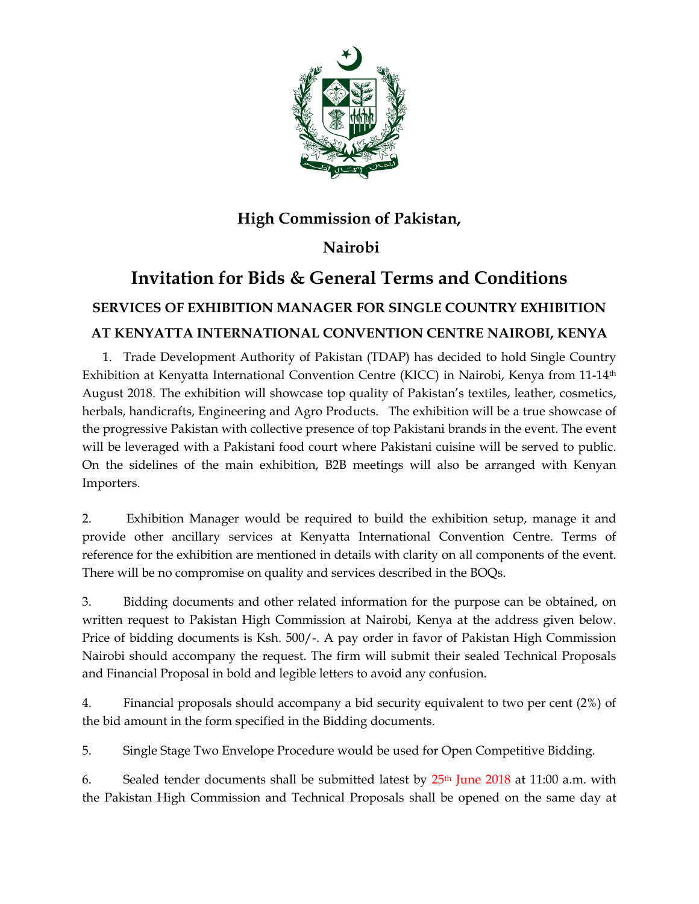

# **High Commission of Pakistan,**

### **Nairobi**

## **Invitation for Bids & General Terms and Conditions SERVICES OF EXHIBITION MANAGER FOR SINGLE COUNTRY EXHIBITION AT KENYATTA INTERNATIONAL CONVENTION CENTRE NAIROBI, KENYA**

1. Trade Development Authority of Pakistan (TDAP) has decided to hold Single Country Exhibition at Kenyatta International Convention Centre (KICC) in Nairobi, Kenya from 11-14<sup>th</sup> August 2018. The exhibition will showcase top quality of Pakistan's textiles, leather, cosmetics, herbals, handicrafts, Engineering and Agro Products. The exhibition will be a true showcase of the progressive Pakistan with collective presence of top Pakistani brands in the event. The event will be leveraged with a Pakistani food court where Pakistani cuisine will be served to public. On the sidelines of the main exhibition, B2B meetings will also be arranged with Kenyan Importers.

2. Exhibition Manager would be required to build the exhibition setup, manage it and provide other ancillary services at Kenyatta International Convention Centre. Terms of reference for the exhibition are mentioned in details with clarity on all components of the event. There will be no compromise on quality and services described in the BOQs.

3. Bidding documents and other related information for the purpose can be obtained, on written request to Pakistan High Commission at Nairobi, Kenya at the address given below. Price of bidding documents is Ksh. 500/-. A pay order in favor of Pakistan High Commission Nairobi should accompany the request. The firm will submit their sealed Technical Proposals and Financial Proposal in bold and legible letters to avoid any confusion.

4. Financial proposals should accompany a bid security equivalent to two per cent (2%) of the bid amount in the form specified in the Bidding documents.

5. Single Stage Two Envelope Procedure would be used for Open Competitive Bidding.

6. Sealed tender documents shall be submitted latest by  $25<sup>th</sup>$  June 2018 at 11:00 a.m. with the Pakistan High Commission and Technical Proposals shall be opened on the same day at